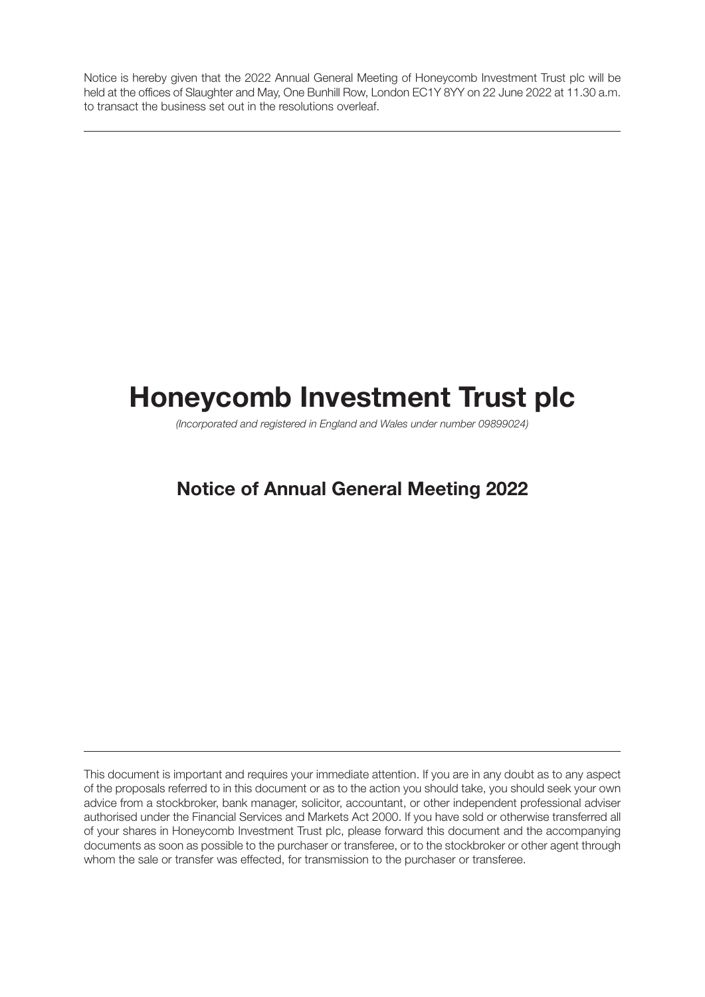Notice is hereby given that the 2022 Annual General Meeting of Honeycomb Investment Trust plc will be held at the offices of Slaughter and May, One Bunhill Row, London EC1Y 8YY on 22 June 2022 at 11.30 a.m. to transact the business set out in the resolutions overleaf.

# **Honeycomb Investment Trust plc**

(Incorporated and registered in England and Wales under number 09899024)

# **Notice of Annual General Meeting 2022**

This document is important and requires your immediate attention. If you are in any doubt as to any aspect of the proposals referred to in this document or as to the action you should take, you should seek your own advice from a stockbroker, bank manager, solicitor, accountant, or other independent professional adviser authorised under the Financial Services and Markets Act 2000. If you have sold or otherwise transferred all of your shares in Honeycomb Investment Trust plc, please forward this document and the accompanying documents as soon as possible to the purchaser or transferee, or to the stockbroker or other agent through whom the sale or transfer was effected, for transmission to the purchaser or transferee.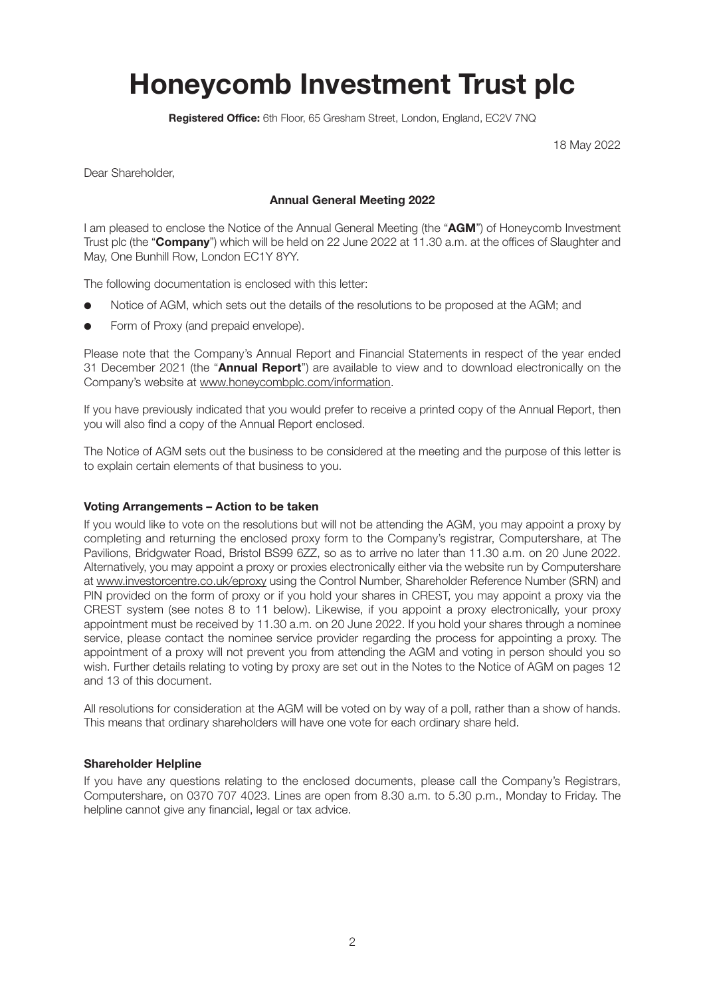# **Honeycomb Investment Trust plc**

**Registered Office:** 6th Floor, 65 Gresham Street, London, England, EC2V 7NQ

18 May 2022

Dear Shareholder,

#### **Annual General Meeting 2022**

I am pleased to enclose the Notice of the Annual General Meeting (the "**AGM**") of Honeycomb Investment Trust plc (the "**Company**") which will be held on 22 June 2022 at 11.30 a.m. at the offices of Slaughter and May, One Bunhill Row, London EC1Y 8YY.

The following documentation is enclosed with this letter:

- Notice of AGM, which sets out the details of the resolutions to be proposed at the AGM; and
- Form of Proxy (and prepaid envelope).

Please note that the Company's Annual Report and Financial Statements in respect of the year ended 31 December 2021 (the "**Annual Report**") are available to view and to download electronically on the Company's website at www.honeycombplc.com/information.

If you have previously indicated that you would prefer to receive a printed copy of the Annual Report, then you will also find a copy of the Annual Report enclosed.

The Notice of AGM sets out the business to be considered at the meeting and the purpose of this letter is to explain certain elements of that business to you.

#### **Voting Arrangements – Action to be taken**

If you would like to vote on the resolutions but will not be attending the AGM, you may appoint a proxy by completing and returning the enclosed proxy form to the Company's registrar, Computershare, at The Pavilions, Bridgwater Road, Bristol BS99 6ZZ, so as to arrive no later than 11.30 a.m. on 20 June 2022. Alternatively, you may appoint a proxy or proxies electronically either via the website run by Computershare at www.investorcentre.co.uk/eproxy using the Control Number, Shareholder Reference Number (SRN) and PIN provided on the form of proxy or if you hold your shares in CREST, you may appoint a proxy via the CREST system (see notes 8 to 11 below). Likewise, if you appoint a proxy electronically, your proxy appointment must be received by 11.30 a.m. on 20 June 2022. If you hold your shares through a nominee service, please contact the nominee service provider regarding the process for appointing a proxy. The appointment of a proxy will not prevent you from attending the AGM and voting in person should you so wish. Further details relating to voting by proxy are set out in the Notes to the Notice of AGM on pages 12 and 13 of this document.

All resolutions for consideration at the AGM will be voted on by way of a poll, rather than a show of hands. This means that ordinary shareholders will have one vote for each ordinary share held.

#### **Shareholder Helpline**

If you have any questions relating to the enclosed documents, please call the Company's Registrars, Computershare, on 0370 707 4023. Lines are open from 8.30 a.m. to 5.30 p.m., Monday to Friday. The helpline cannot give any financial, legal or tax advice.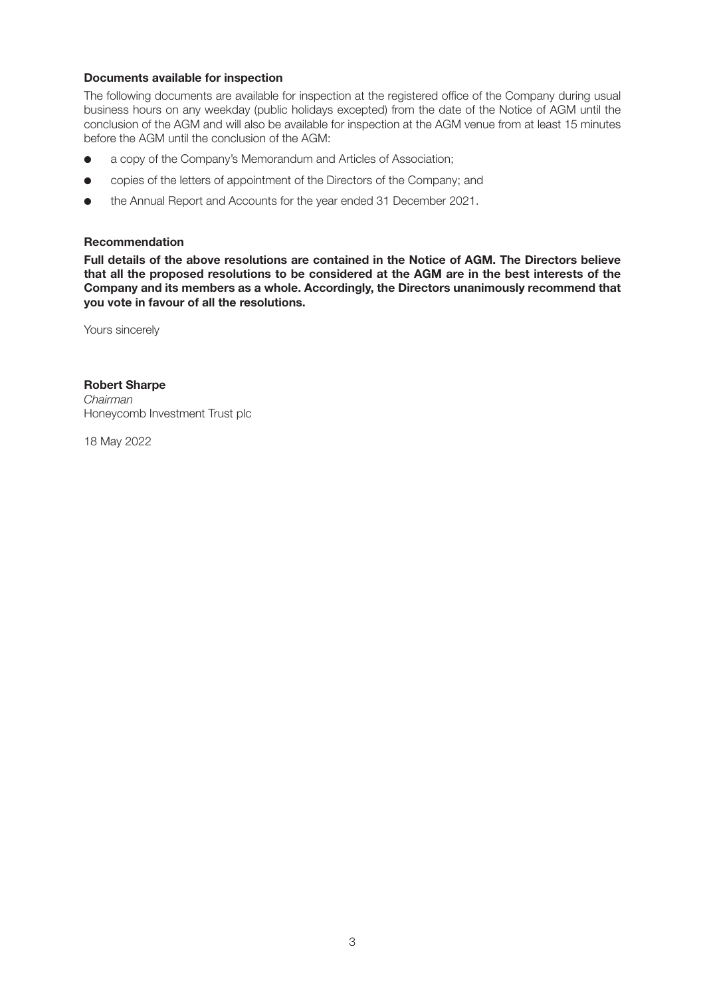#### **Documents available for inspection**

The following documents are available for inspection at the registered office of the Company during usual business hours on any weekday (public holidays excepted) from the date of the Notice of AGM until the conclusion of the AGM and will also be available for inspection at the AGM venue from at least 15 minutes before the AGM until the conclusion of the AGM:

- a copy of the Company's Memorandum and Articles of Association;
- **.** copies of the letters of appointment of the Directors of the Company; and
- the Annual Report and Accounts for the year ended 31 December 2021.

#### **Recommendation**

**Full details of the above resolutions are contained in the Notice of AGM. The Directors believe that all the proposed resolutions to be considered at the AGM are in the best interests of the Company and its members as a whole. Accordingly, the Directors unanimously recommend that you vote in favour of all the resolutions.**

Yours sincerely

#### **Robert Sharpe**

Chairman Honeycomb Investment Trust plc

18 May 2022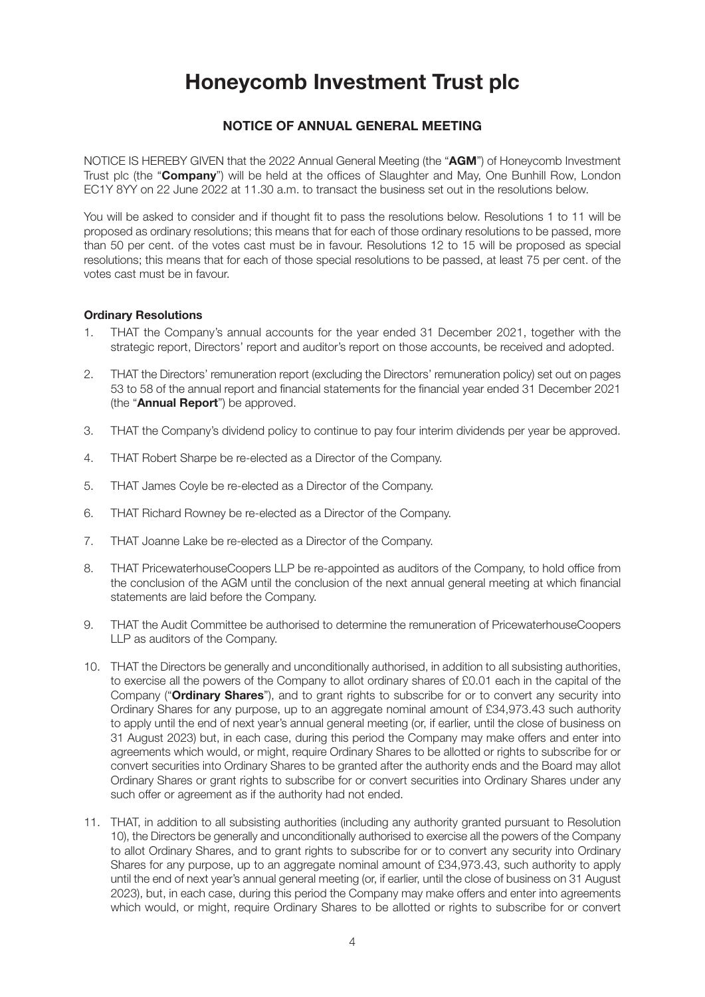# **Honeycomb Investment Trust plc**

## **NOTICE OF ANNUAL GENERAL MEETING**

NOTICE IS HEREBY GIVEN that the 2022 Annual General Meeting (the "**AGM**") of Honeycomb Investment Trust plc (the "**Company**") will be held at the offices of Slaughter and May, One Bunhill Row, London EC1Y 8YY on 22 June 2022 at 11.30 a.m. to transact the business set out in the resolutions below.

You will be asked to consider and if thought fit to pass the resolutions below. Resolutions 1 to 11 will be proposed as ordinary resolutions; this means that for each of those ordinary resolutions to be passed, more than 50 per cent. of the votes cast must be in favour. Resolutions 12 to 15 will be proposed as special resolutions; this means that for each of those special resolutions to be passed, at least 75 per cent. of the votes cast must be in favour.

#### **Ordinary Resolutions**

- 1. THAT the Company's annual accounts for the year ended 31 December 2021, together with the strategic report, Directors' report and auditor's report on those accounts, be received and adopted.
- 2. THAT the Directors' remuneration report (excluding the Directors' remuneration policy) set out on pages 53 to 58 of the annual report and financial statements for the financial year ended 31 December 2021 (the "**Annual Report**") be approved.
- 3. THAT the Company's dividend policy to continue to pay four interim dividends per year be approved.
- 4. THAT Robert Sharpe be re-elected as a Director of the Company.
- 5. THAT James Coyle be re-elected as a Director of the Company.
- 6. THAT Richard Rowney be re-elected as a Director of the Company.
- 7. THAT Joanne Lake be re-elected as a Director of the Company.
- 8. THAT PricewaterhouseCoopers LLP be re-appointed as auditors of the Company, to hold office from the conclusion of the AGM until the conclusion of the next annual general meeting at which financial statements are laid before the Company.
- 9. THAT the Audit Committee be authorised to determine the remuneration of PricewaterhouseCoopers LLP as auditors of the Company.
- 10. THAT the Directors be generally and unconditionally authorised, in addition to all subsisting authorities, to exercise all the powers of the Company to allot ordinary shares of £0.01 each in the capital of the Company ("**Ordinary Shares**"), and to grant rights to subscribe for or to convert any security into Ordinary Shares for any purpose, up to an aggregate nominal amount of £34,973.43 such authority to apply until the end of next year's annual general meeting (or, if earlier, until the close of business on 31 August 2023) but, in each case, during this period the Company may make offers and enter into agreements which would, or might, require Ordinary Shares to be allotted or rights to subscribe for or convert securities into Ordinary Shares to be granted after the authority ends and the Board may allot Ordinary Shares or grant rights to subscribe for or convert securities into Ordinary Shares under any such offer or agreement as if the authority had not ended.
- 11. THAT, in addition to all subsisting authorities (including any authority granted pursuant to Resolution 10), the Directors be generally and unconditionally authorised to exercise all the powers of the Company to allot Ordinary Shares, and to grant rights to subscribe for or to convert any security into Ordinary Shares for any purpose, up to an aggregate nominal amount of £34,973.43, such authority to apply until the end of next year's annual general meeting (or, if earlier, until the close of business on 31 August 2023), but, in each case, during this period the Company may make offers and enter into agreements which would, or might, require Ordinary Shares to be allotted or rights to subscribe for or convert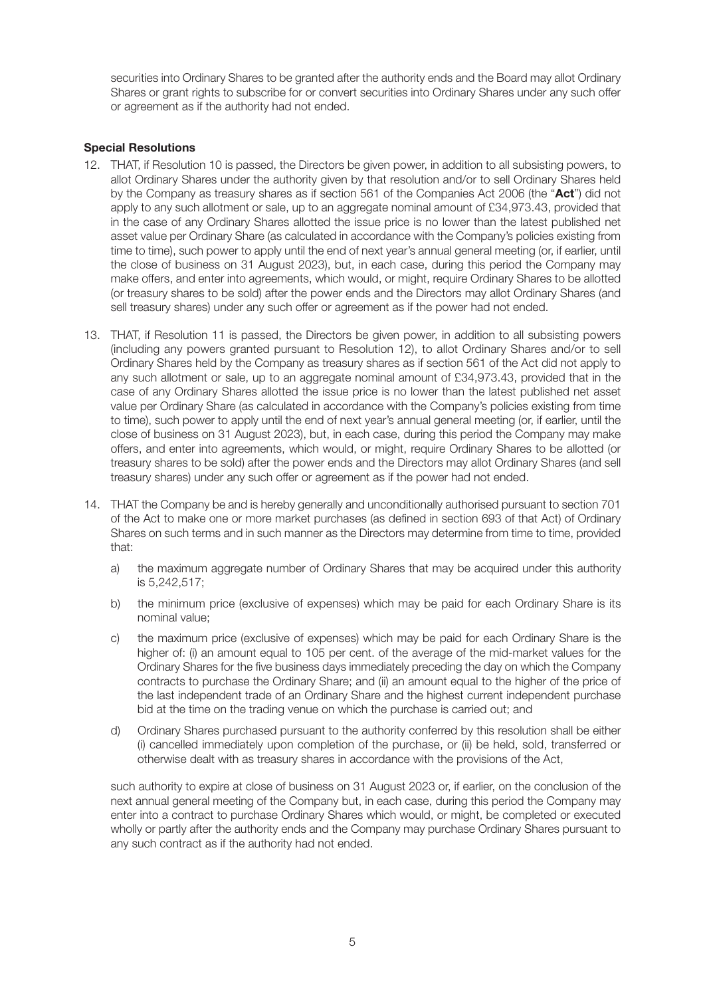securities into Ordinary Shares to be granted after the authority ends and the Board may allot Ordinary Shares or grant rights to subscribe for or convert securities into Ordinary Shares under any such offer or agreement as if the authority had not ended.

#### **Special Resolutions**

- 12. THAT, if Resolution 10 is passed, the Directors be given power, in addition to all subsisting powers, to allot Ordinary Shares under the authority given by that resolution and/or to sell Ordinary Shares held by the Company as treasury shares as if section 561 of the Companies Act 2006 (the "**Act**") did not apply to any such allotment or sale, up to an aggregate nominal amount of £34,973.43, provided that in the case of any Ordinary Shares allotted the issue price is no lower than the latest published net asset value per Ordinary Share (as calculated in accordance with the Company's policies existing from time to time), such power to apply until the end of next year's annual general meeting (or, if earlier, until the close of business on 31 August 2023), but, in each case, during this period the Company may make offers, and enter into agreements, which would, or might, require Ordinary Shares to be allotted (or treasury shares to be sold) after the power ends and the Directors may allot Ordinary Shares (and sell treasury shares) under any such offer or agreement as if the power had not ended.
- 13. THAT, if Resolution 11 is passed, the Directors be given power, in addition to all subsisting powers (including any powers granted pursuant to Resolution 12), to allot Ordinary Shares and/or to sell Ordinary Shares held by the Company as treasury shares as if section 561 of the Act did not apply to any such allotment or sale, up to an aggregate nominal amount of £34,973.43, provided that in the case of any Ordinary Shares allotted the issue price is no lower than the latest published net asset value per Ordinary Share (as calculated in accordance with the Company's policies existing from time to time), such power to apply until the end of next year's annual general meeting (or, if earlier, until the close of business on 31 August 2023), but, in each case, during this period the Company may make offers, and enter into agreements, which would, or might, require Ordinary Shares to be allotted (or treasury shares to be sold) after the power ends and the Directors may allot Ordinary Shares (and sell treasury shares) under any such offer or agreement as if the power had not ended.
- 14. THAT the Company be and is hereby generally and unconditionally authorised pursuant to section 701 of the Act to make one or more market purchases (as defined in section 693 of that Act) of Ordinary Shares on such terms and in such manner as the Directors may determine from time to time, provided that:
	- a) the maximum aggregate number of Ordinary Shares that may be acquired under this authority is 5,242,517;
	- b) the minimum price (exclusive of expenses) which may be paid for each Ordinary Share is its nominal value;
	- c) the maximum price (exclusive of expenses) which may be paid for each Ordinary Share is the higher of: (i) an amount equal to 105 per cent. of the average of the mid-market values for the Ordinary Shares for the five business days immediately preceding the day on which the Company contracts to purchase the Ordinary Share; and (ii) an amount equal to the higher of the price of the last independent trade of an Ordinary Share and the highest current independent purchase bid at the time on the trading venue on which the purchase is carried out; and
	- d) Ordinary Shares purchased pursuant to the authority conferred by this resolution shall be either (i) cancelled immediately upon completion of the purchase, or (ii) be held, sold, transferred or otherwise dealt with as treasury shares in accordance with the provisions of the Act,

 such authority to expire at close of business on 31 August 2023 or, if earlier, on the conclusion of the next annual general meeting of the Company but, in each case, during this period the Company may enter into a contract to purchase Ordinary Shares which would, or might, be completed or executed wholly or partly after the authority ends and the Company may purchase Ordinary Shares pursuant to any such contract as if the authority had not ended.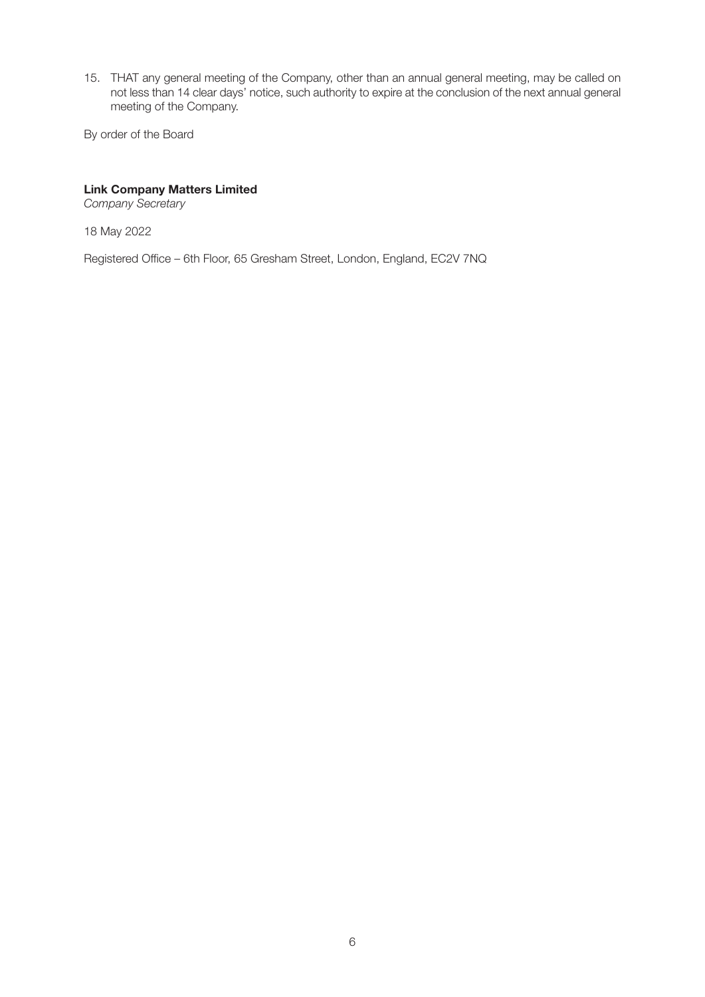15. THAT any general meeting of the Company, other than an annual general meeting, may be called on not less than 14 clear days' notice, such authority to expire at the conclusion of the next annual general meeting of the Company.

By order of the Board

### **Link Company Matters Limited**

Company Secretary

18 May 2022

Registered Office – 6th Floor, 65 Gresham Street, London, England, EC2V 7NQ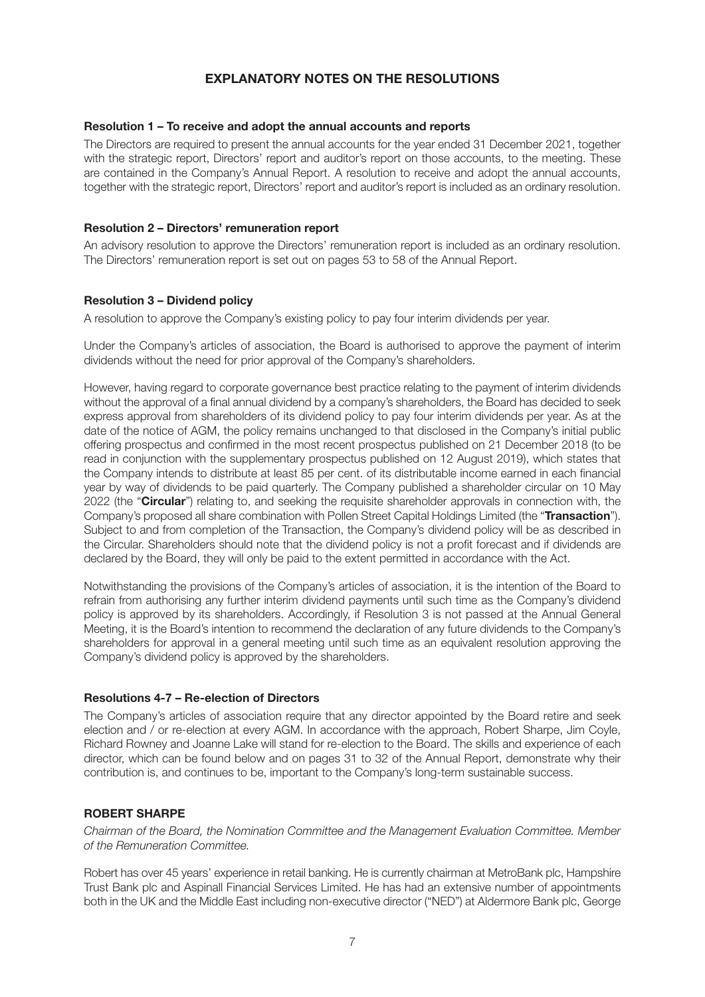# **EXPLANATORY NOTES ON THE RESOLUTIONS**

#### **Resolution 1 – To receive and adopt the annual accounts and reports**

The Directors are required to present the annual accounts for the year ended 31 December 2021, together with the strategic report, Directors' report and auditor's report on those accounts, to the meeting. These are contained in the Company's Annual Report. A resolution to receive and adopt the annual accounts, together with the strategic report, Directors' report and auditor's report is included as an ordinary resolution.

#### **Resolution 2 – Directors' remuneration report**

An advisory resolution to approve the Directors' remuneration report is included as an ordinary resolution. The Directors' remuneration report is set out on pages 53 to 58 of the Annual Report.

#### **Resolution 3 – Dividend policy**

A resolution to approve the Company's existing policy to pay four interim dividends per year.

Under the Company's articles of association, the Board is authorised to approve the payment of interim dividends without the need for prior approval of the Company's shareholders.

However, having regard to corporate governance best practice relating to the payment of interim dividends without the approval of a final annual dividend by a company's shareholders, the Board has decided to seek express approval from shareholders of its dividend policy to pay four interim dividends per year. As at the date of the notice of AGM, the policy remains unchanged to that disclosed in the Company's initial public offering prospectus and confirmed in the most recent prospectus published on 21 December 2018 (to be read in conjunction with the supplementary prospectus published on 12 August 2019), which states that the Company intends to distribute at least 85 per cent. of its distributable income earned in each financial year by way of dividends to be paid quarterly. The Company published a shareholder circular on 10 May 2022 (the "**Circular**") relating to, and seeking the requisite shareholder approvals in connection with, the Company's proposed all share combination with Pollen Street Capital Holdings Limited (the "**Transaction**"). Subject to and from completion of the Transaction, the Company's dividend policy will be as described in the Circular. Shareholders should note that the dividend policy is not a profit forecast and if dividends are declared by the Board, they will only be paid to the extent permitted in accordance with the Act.

Notwithstanding the provisions of the Company's articles of association, it is the intention of the Board to refrain from authorising any further interim dividend payments until such time as the Company's dividend policy is approved by its shareholders. Accordingly, if Resolution 3 is not passed at the Annual General Meeting, it is the Board's intention to recommend the declaration of any future dividends to the Company's shareholders for approval in a general meeting until such time as an equivalent resolution approving the Company's dividend policy is approved by the shareholders.

#### **Resolutions 4-7 – Re-election of Directors**

The Company's articles of association require that any director appointed by the Board retire and seek election and / or re-election at every AGM. In accordance with the approach, Robert Sharpe, Jim Coyle, Richard Rowney and Joanne Lake will stand for re-election to the Board. The skills and experience of each director, which can be found below and on pages 31 to 32 of the Annual Report, demonstrate why their contribution is, and continues to be, important to the Company's long-term sustainable success.

#### **ROBERT SHARPE**

Chairman of the Board, the Nomination Committee and the Management Evaluation Committee. Member of the Remuneration Committee.

Robert has over 45 years' experience in retail banking. He is currently chairman at MetroBank plc, Hampshire Trust Bank plc and Aspinall Financial Services Limited. He has had an extensive number of appointments both in the UK and the Middle East including non-executive director ("NED") at Aldermore Bank plc, George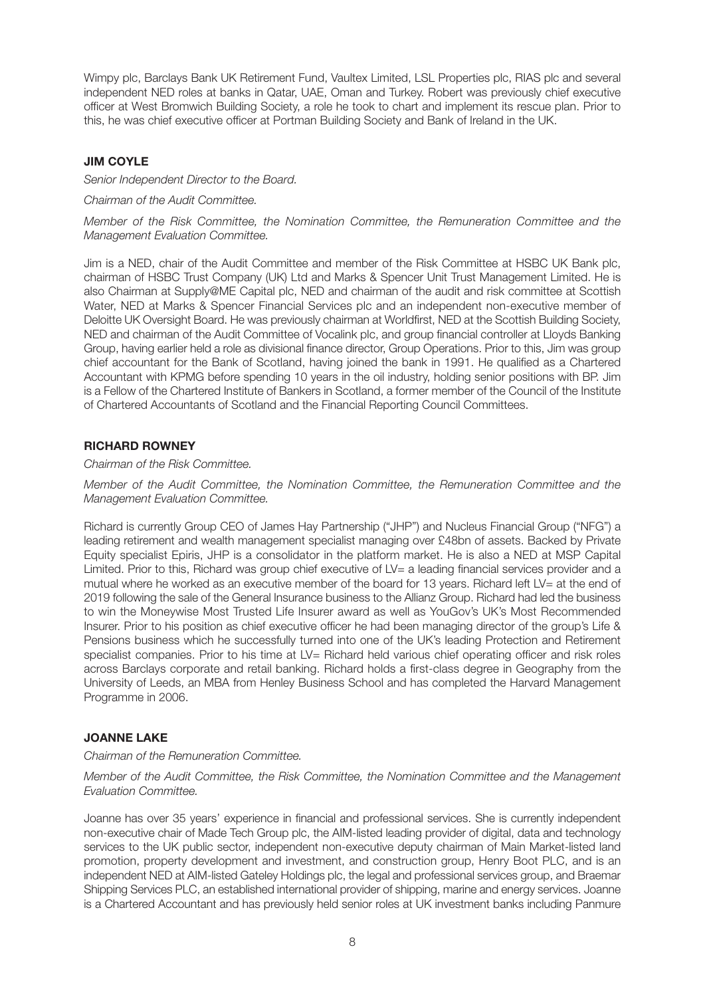Wimpy plc, Barclays Bank UK Retirement Fund, Vaultex Limited, LSL Properties plc, RIAS plc and several independent NED roles at banks in Qatar, UAE, Oman and Turkey. Robert was previously chief executive officer at West Bromwich Building Society, a role he took to chart and implement its rescue plan. Prior to this, he was chief executive officer at Portman Building Society and Bank of Ireland in the UK.

### **JIM COYLE**

Senior Independent Director to the Board.

Chairman of the Audit Committee.

Member of the Risk Committee, the Nomination Committee, the Remuneration Committee and the Management Evaluation Committee.

Jim is a NED, chair of the Audit Committee and member of the Risk Committee at HSBC UK Bank plc, chairman of HSBC Trust Company (UK) Ltd and Marks & Spencer Unit Trust Management Limited. He is also Chairman at Supply@ME Capital plc, NED and chairman of the audit and risk committee at Scottish Water, NED at Marks & Spencer Financial Services plc and an independent non-executive member of Deloitte UK Oversight Board. He was previously chairman at Worldfirst, NED at the Scottish Building Society, NED and chairman of the Audit Committee of Vocalink plc, and group financial controller at Lloyds Banking Group, having earlier held a role as divisional finance director, Group Operations. Prior to this, Jim was group chief accountant for the Bank of Scotland, having joined the bank in 1991. He qualified as a Chartered Accountant with KPMG before spending 10 years in the oil industry, holding senior positions with BP. Jim is a Fellow of the Chartered Institute of Bankers in Scotland, a former member of the Council of the Institute of Chartered Accountants of Scotland and the Financial Reporting Council Committees.

### **RICHARD ROWNEY**

Chairman of the Risk Committee.

Member of the Audit Committee, the Nomination Committee, the Remuneration Committee and the Management Evaluation Committee.

Richard is currently Group CEO of James Hay Partnership ("JHP") and Nucleus Financial Group ("NFG") a leading retirement and wealth management specialist managing over £48bn of assets. Backed by Private Equity specialist Epiris, JHP is a consolidator in the platform market. He is also a NED at MSP Capital Limited. Prior to this, Richard was group chief executive of LV= a leading financial services provider and a mutual where he worked as an executive member of the board for 13 years. Richard left LV= at the end of 2019 following the sale of the General Insurance business to the Allianz Group. Richard had led the business to win the Moneywise Most Trusted Life Insurer award as well as YouGov's UK's Most Recommended Insurer. Prior to his position as chief executive officer he had been managing director of the group's Life & Pensions business which he successfully turned into one of the UK's leading Protection and Retirement specialist companies. Prior to his time at LV= Richard held various chief operating officer and risk roles across Barclays corporate and retail banking. Richard holds a first-class degree in Geography from the University of Leeds, an MBA from Henley Business School and has completed the Harvard Management Programme in 2006.

#### **JOANNE LAKE**

Chairman of the Remuneration Committee.

Member of the Audit Committee, the Risk Committee, the Nomination Committee and the Management Evaluation Committee.

Joanne has over 35 years' experience in financial and professional services. She is currently independent non-executive chair of Made Tech Group plc, the AIM-listed leading provider of digital, data and technology services to the UK public sector, independent non-executive deputy chairman of Main Market-listed land promotion, property development and investment, and construction group, Henry Boot PLC, and is an independent NED at AIM-listed Gateley Holdings plc, the legal and professional services group, and Braemar Shipping Services PLC, an established international provider of shipping, marine and energy services. Joanne is a Chartered Accountant and has previously held senior roles at UK investment banks including Panmure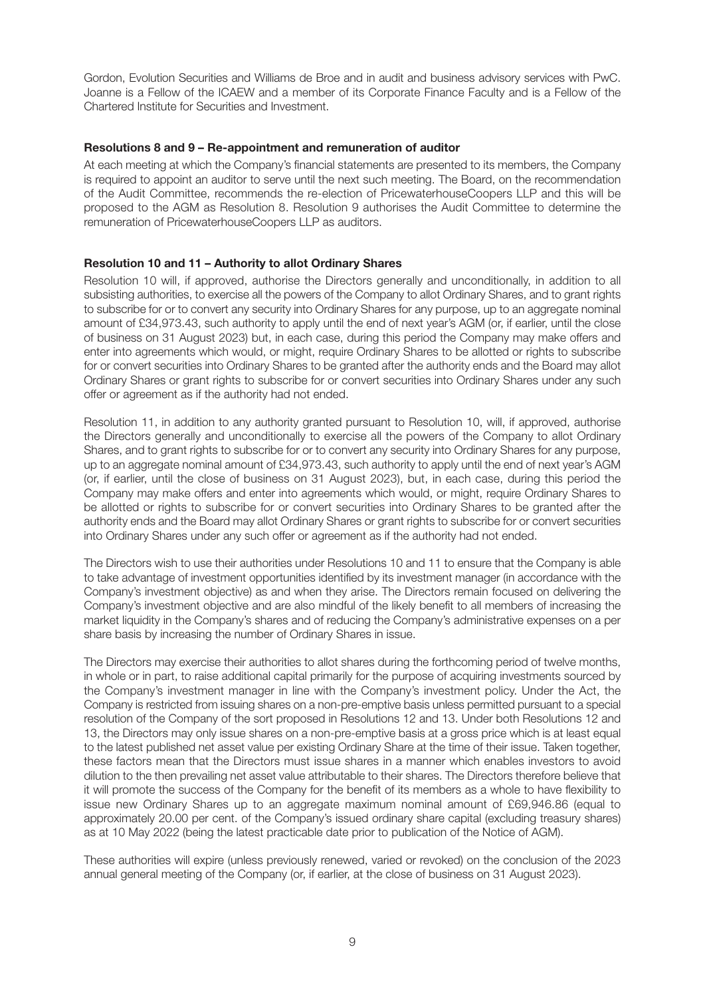Gordon, Evolution Securities and Williams de Broe and in audit and business advisory services with PwC. Joanne is a Fellow of the ICAEW and a member of its Corporate Finance Faculty and is a Fellow of the Chartered Institute for Securities and Investment.

#### **Resolutions 8 and 9 – Re-appointment and remuneration of auditor**

At each meeting at which the Company's financial statements are presented to its members, the Company is required to appoint an auditor to serve until the next such meeting. The Board, on the recommendation of the Audit Committee, recommends the re-election of PricewaterhouseCoopers LLP and this will be proposed to the AGM as Resolution 8. Resolution 9 authorises the Audit Committee to determine the remuneration of PricewaterhouseCoopers LLP as auditors.

#### **Resolution 10 and 11 – Authority to allot Ordinary Shares**

Resolution 10 will, if approved, authorise the Directors generally and unconditionally, in addition to all subsisting authorities, to exercise all the powers of the Company to allot Ordinary Shares, and to grant rights to subscribe for or to convert any security into Ordinary Shares for any purpose, up to an aggregate nominal amount of £34,973.43, such authority to apply until the end of next year's AGM (or, if earlier, until the close of business on 31 August 2023) but, in each case, during this period the Company may make offers and enter into agreements which would, or might, require Ordinary Shares to be allotted or rights to subscribe for or convert securities into Ordinary Shares to be granted after the authority ends and the Board may allot Ordinary Shares or grant rights to subscribe for or convert securities into Ordinary Shares under any such offer or agreement as if the authority had not ended.

Resolution 11, in addition to any authority granted pursuant to Resolution 10, will, if approved, authorise the Directors generally and unconditionally to exercise all the powers of the Company to allot Ordinary Shares, and to grant rights to subscribe for or to convert any security into Ordinary Shares for any purpose, up to an aggregate nominal amount of £34,973.43, such authority to apply until the end of next year's AGM (or, if earlier, until the close of business on 31 August 2023), but, in each case, during this period the Company may make offers and enter into agreements which would, or might, require Ordinary Shares to be allotted or rights to subscribe for or convert securities into Ordinary Shares to be granted after the authority ends and the Board may allot Ordinary Shares or grant rights to subscribe for or convert securities into Ordinary Shares under any such offer or agreement as if the authority had not ended.

The Directors wish to use their authorities under Resolutions 10 and 11 to ensure that the Company is able to take advantage of investment opportunities identified by its investment manager (in accordance with the Company's investment objective) as and when they arise. The Directors remain focused on delivering the Company's investment objective and are also mindful of the likely benefit to all members of increasing the market liquidity in the Company's shares and of reducing the Company's administrative expenses on a per share basis by increasing the number of Ordinary Shares in issue.

The Directors may exercise their authorities to allot shares during the forthcoming period of twelve months, in whole or in part, to raise additional capital primarily for the purpose of acquiring investments sourced by the Company's investment manager in line with the Company's investment policy. Under the Act, the Company is restricted from issuing shares on a non-pre-emptive basis unless permitted pursuant to a special resolution of the Company of the sort proposed in Resolutions 12 and 13. Under both Resolutions 12 and 13, the Directors may only issue shares on a non-pre-emptive basis at a gross price which is at least equal to the latest published net asset value per existing Ordinary Share at the time of their issue. Taken together, these factors mean that the Directors must issue shares in a manner which enables investors to avoid dilution to the then prevailing net asset value attributable to their shares. The Directors therefore believe that it will promote the success of the Company for the benefit of its members as a whole to have flexibility to issue new Ordinary Shares up to an aggregate maximum nominal amount of £69,946.86 (equal to approximately 20.00 per cent. of the Company's issued ordinary share capital (excluding treasury shares) as at 10 May 2022 (being the latest practicable date prior to publication of the Notice of AGM).

These authorities will expire (unless previously renewed, varied or revoked) on the conclusion of the 2023 annual general meeting of the Company (or, if earlier, at the close of business on 31 August 2023).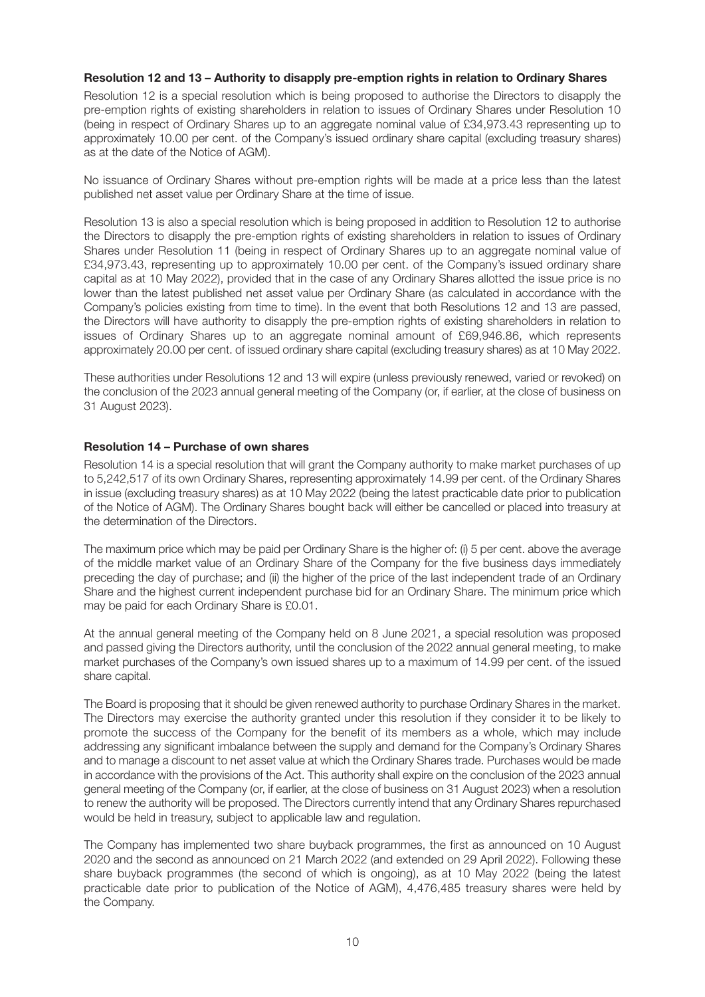#### **Resolution 12 and 13 – Authority to disapply pre-emption rights in relation to Ordinary Shares**

Resolution 12 is a special resolution which is being proposed to authorise the Directors to disapply the pre-emption rights of existing shareholders in relation to issues of Ordinary Shares under Resolution 10 (being in respect of Ordinary Shares up to an aggregate nominal value of £34,973.43 representing up to approximately 10.00 per cent. of the Company's issued ordinary share capital (excluding treasury shares) as at the date of the Notice of AGM).

No issuance of Ordinary Shares without pre-emption rights will be made at a price less than the latest published net asset value per Ordinary Share at the time of issue.

Resolution 13 is also a special resolution which is being proposed in addition to Resolution 12 to authorise the Directors to disapply the pre-emption rights of existing shareholders in relation to issues of Ordinary Shares under Resolution 11 (being in respect of Ordinary Shares up to an aggregate nominal value of £34,973.43, representing up to approximately 10.00 per cent. of the Company's issued ordinary share capital as at 10 May 2022), provided that in the case of any Ordinary Shares allotted the issue price is no lower than the latest published net asset value per Ordinary Share (as calculated in accordance with the Company's policies existing from time to time). In the event that both Resolutions 12 and 13 are passed, the Directors will have authority to disapply the pre-emption rights of existing shareholders in relation to issues of Ordinary Shares up to an aggregate nominal amount of £69,946.86, which represents approximately 20.00 per cent. of issued ordinary share capital (excluding treasury shares) as at 10 May 2022.

These authorities under Resolutions 12 and 13 will expire (unless previously renewed, varied or revoked) on the conclusion of the 2023 annual general meeting of the Company (or, if earlier, at the close of business on 31 August 2023).

#### **Resolution 14 – Purchase of own shares**

Resolution 14 is a special resolution that will grant the Company authority to make market purchases of up to 5,242,517 of its own Ordinary Shares, representing approximately 14.99 per cent. of the Ordinary Shares in issue (excluding treasury shares) as at 10 May 2022 (being the latest practicable date prior to publication of the Notice of AGM). The Ordinary Shares bought back will either be cancelled or placed into treasury at the determination of the Directors.

The maximum price which may be paid per Ordinary Share is the higher of: (i) 5 per cent. above the average of the middle market value of an Ordinary Share of the Company for the five business days immediately preceding the day of purchase; and (ii) the higher of the price of the last independent trade of an Ordinary Share and the highest current independent purchase bid for an Ordinary Share. The minimum price which may be paid for each Ordinary Share is £0.01.

At the annual general meeting of the Company held on 8 June 2021, a special resolution was proposed and passed giving the Directors authority, until the conclusion of the 2022 annual general meeting, to make market purchases of the Company's own issued shares up to a maximum of 14.99 per cent. of the issued share capital.

The Board is proposing that it should be given renewed authority to purchase Ordinary Shares in the market. The Directors may exercise the authority granted under this resolution if they consider it to be likely to promote the success of the Company for the benefit of its members as a whole, which may include addressing any significant imbalance between the supply and demand for the Company's Ordinary Shares and to manage a discount to net asset value at which the Ordinary Shares trade. Purchases would be made in accordance with the provisions of the Act. This authority shall expire on the conclusion of the 2023 annual general meeting of the Company (or, if earlier, at the close of business on 31 August 2023) when a resolution to renew the authority will be proposed. The Directors currently intend that any Ordinary Shares repurchased would be held in treasury, subject to applicable law and regulation.

The Company has implemented two share buyback programmes, the first as announced on 10 August 2020 and the second as announced on 21 March 2022 (and extended on 29 April 2022). Following these share buyback programmes (the second of which is ongoing), as at 10 May 2022 (being the latest practicable date prior to publication of the Notice of AGM), 4,476,485 treasury shares were held by the Company.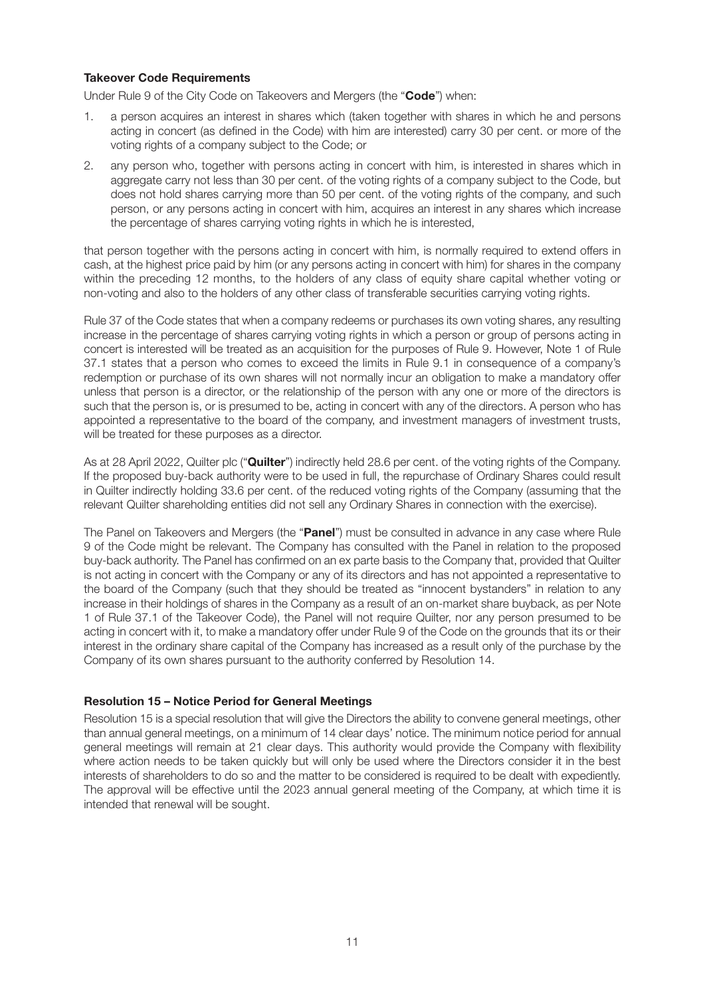#### **Takeover Code Requirements**

Under Rule 9 of the City Code on Takeovers and Mergers (the "**Code**") when:

- 1. a person acquires an interest in shares which (taken together with shares in which he and persons acting in concert (as defined in the Code) with him are interested) carry 30 per cent. or more of the voting rights of a company subject to the Code; or
- 2. any person who, together with persons acting in concert with him, is interested in shares which in aggregate carry not less than 30 per cent. of the voting rights of a company subject to the Code, but does not hold shares carrying more than 50 per cent. of the voting rights of the company, and such person, or any persons acting in concert with him, acquires an interest in any shares which increase the percentage of shares carrying voting rights in which he is interested,

that person together with the persons acting in concert with him, is normally required to extend offers in cash, at the highest price paid by him (or any persons acting in concert with him) for shares in the company within the preceding 12 months, to the holders of any class of equity share capital whether voting or non-voting and also to the holders of any other class of transferable securities carrying voting rights.

Rule 37 of the Code states that when a company redeems or purchases its own voting shares, any resulting increase in the percentage of shares carrying voting rights in which a person or group of persons acting in concert is interested will be treated as an acquisition for the purposes of Rule 9. However, Note 1 of Rule 37.1 states that a person who comes to exceed the limits in Rule 9.1 in consequence of a company's redemption or purchase of its own shares will not normally incur an obligation to make a mandatory offer unless that person is a director, or the relationship of the person with any one or more of the directors is such that the person is, or is presumed to be, acting in concert with any of the directors. A person who has appointed a representative to the board of the company, and investment managers of investment trusts, will be treated for these purposes as a director.

As at 28 April 2022, Quilter plc ("**Quilter**") indirectly held 28.6 per cent. of the voting rights of the Company. If the proposed buy-back authority were to be used in full, the repurchase of Ordinary Shares could result in Quilter indirectly holding 33.6 per cent. of the reduced voting rights of the Company (assuming that the relevant Quilter shareholding entities did not sell any Ordinary Shares in connection with the exercise).

The Panel on Takeovers and Mergers (the "**Panel**") must be consulted in advance in any case where Rule 9 of the Code might be relevant. The Company has consulted with the Panel in relation to the proposed buy-back authority. The Panel has confirmed on an ex parte basis to the Company that, provided that Quilter is not acting in concert with the Company or any of its directors and has not appointed a representative to the board of the Company (such that they should be treated as "innocent bystanders" in relation to any increase in their holdings of shares in the Company as a result of an on-market share buyback, as per Note 1 of Rule 37.1 of the Takeover Code), the Panel will not require Quilter, nor any person presumed to be acting in concert with it, to make a mandatory offer under Rule 9 of the Code on the grounds that its or their interest in the ordinary share capital of the Company has increased as a result only of the purchase by the Company of its own shares pursuant to the authority conferred by Resolution 14.

#### **Resolution 15 – Notice Period for General Meetings**

Resolution 15 is a special resolution that will give the Directors the ability to convene general meetings, other than annual general meetings, on a minimum of 14 clear days' notice. The minimum notice period for annual general meetings will remain at 21 clear days. This authority would provide the Company with flexibility where action needs to be taken quickly but will only be used where the Directors consider it in the best interests of shareholders to do so and the matter to be considered is required to be dealt with expediently. The approval will be effective until the 2023 annual general meeting of the Company, at which time it is intended that renewal will be sought.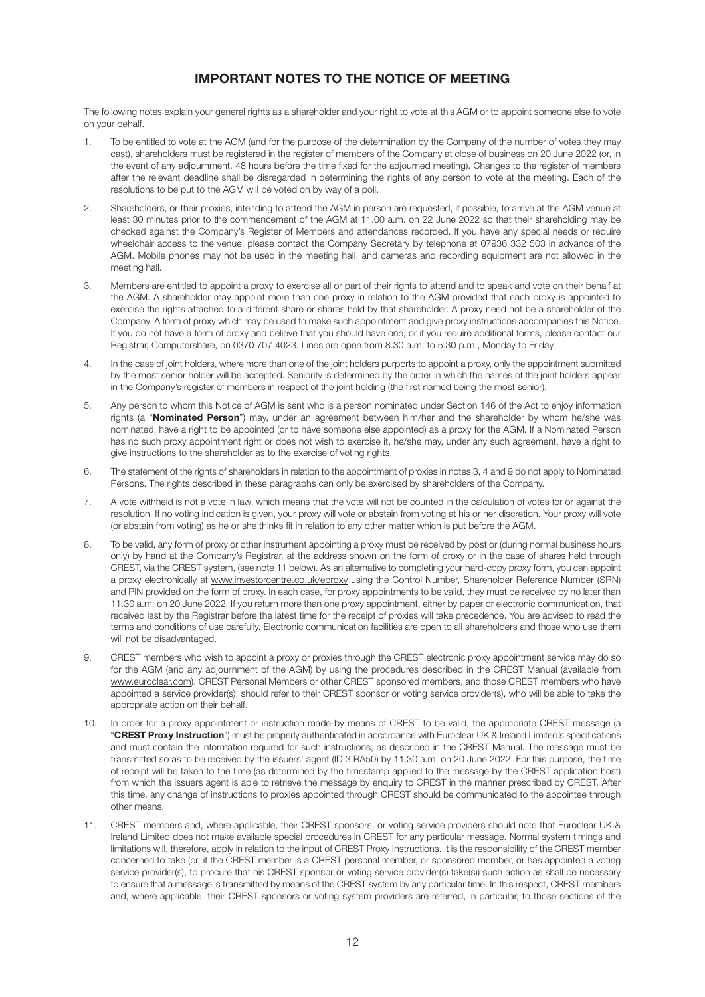# **IMPORTANT NOTES TO THE NOTICE OF MEETING**

The following notes explain your general rights as a shareholder and your right to vote at this AGM or to appoint someone else to vote on your behalf.

- 1. To be entitled to vote at the AGM (and for the purpose of the determination by the Company of the number of votes they may cast), shareholders must be registered in the register of members of the Company at close of business on 20 June 2022 (or, in the event of any adjournment, 48 hours before the time fixed for the adjourned meeting). Changes to the register of members after the relevant deadline shall be disregarded in determining the rights of any person to vote at the meeting. Each of the resolutions to be put to the AGM will be voted on by way of a poll.
- 2. Shareholders, or their proxies, intending to attend the AGM in person are requested, if possible, to arrive at the AGM venue at least 30 minutes prior to the commencement of the AGM at 11.00 a.m. on 22 June 2022 so that their shareholding may be checked against the Company's Register of Members and attendances recorded. If you have any special needs or require wheelchair access to the venue, please contact the Company Secretary by telephone at 07936 332 503 in advance of the AGM. Mobile phones may not be used in the meeting hall, and cameras and recording equipment are not allowed in the meeting hall.
- 3. Members are entitled to appoint a proxy to exercise all or part of their rights to attend and to speak and vote on their behalf at the AGM. A shareholder may appoint more than one proxy in relation to the AGM provided that each proxy is appointed to exercise the rights attached to a different share or shares held by that shareholder. A proxy need not be a shareholder of the Company. A form of proxy which may be used to make such appointment and give proxy instructions accompanies this Notice. If you do not have a form of proxy and believe that you should have one, or if you require additional forms, please contact our Registrar, Computershare, on 0370 707 4023. Lines are open from 8.30 a.m. to 5.30 p.m., Monday to Friday.
- 4. In the case of joint holders, where more than one of the joint holders purports to appoint a proxy, only the appointment submitted by the most senior holder will be accepted. Seniority is determined by the order in which the names of the joint holders appear in the Company's register of members in respect of the joint holding (the first named being the most senior).
- 5. Any person to whom this Notice of AGM is sent who is a person nominated under Section 146 of the Act to enjoy information rights (a "**Nominated Person**") may, under an agreement between him/her and the shareholder by whom he/she was nominated, have a right to be appointed (or to have someone else appointed) as a proxy for the AGM. If a Nominated Person has no such proxy appointment right or does not wish to exercise it, he/she may, under any such agreement, have a right to give instructions to the shareholder as to the exercise of voting rights.
- 6. The statement of the rights of shareholders in relation to the appointment of proxies in notes 3, 4 and 9 do not apply to Nominated Persons. The rights described in these paragraphs can only be exercised by shareholders of the Company.
- 7. A vote withheld is not a vote in law, which means that the vote will not be counted in the calculation of votes for or against the resolution. If no voting indication is given, your proxy will vote or abstain from voting at his or her discretion. Your proxy will vote (or abstain from voting) as he or she thinks fit in relation to any other matter which is put before the AGM.
- 8. To be valid, any form of proxy or other instrument appointing a proxy must be received by post or (during normal business hours only) by hand at the Company's Registrar, at the address shown on the form of proxy or in the case of shares held through CREST, via the CREST system, (see note 11 below). As an alternative to completing your hard-copy proxy form, you can appoint a proxy electronically at www.investorcentre.co.uk/eproxy using the Control Number, Shareholder Reference Number (SRN) and PIN provided on the form of proxy. In each case, for proxy appointments to be valid, they must be received by no later than 11.30 a.m. on 20 June 2022. If you return more than one proxy appointment, either by paper or electronic communication, that received last by the Registrar before the latest time for the receipt of proxies will take precedence. You are advised to read the terms and conditions of use carefully. Electronic communication facilities are open to all shareholders and those who use them will not be disadvantaged.
- 9. CREST members who wish to appoint a proxy or proxies through the CREST electronic proxy appointment service may do so for the AGM (and any adjournment of the AGM) by using the procedures described in the CREST Manual (available from www.euroclear.com). CREST Personal Members or other CREST sponsored members, and those CREST members who have appointed a service provider(s), should refer to their CREST sponsor or voting service provider(s), who will be able to take the appropriate action on their behalf.
- 10. In order for a proxy appointment or instruction made by means of CREST to be valid, the appropriate CREST message (a "**CREST Proxy Instruction**") must be properly authenticated in accordance with Euroclear UK & Ireland Limited's specifications and must contain the information required for such instructions, as described in the CREST Manual. The message must be transmitted so as to be received by the issuers' agent (ID 3 RA50) by 11.30 a.m. on 20 June 2022. For this purpose, the time of receipt will be taken to the time (as determined by the timestamp applied to the message by the CREST application host) from which the issuers agent is able to retrieve the message by enquiry to CREST in the manner prescribed by CREST. After this time, any change of instructions to proxies appointed through CREST should be communicated to the appointee through other means.
- 11. CREST members and, where applicable, their CREST sponsors, or voting service providers should note that Euroclear UK & Ireland Limited does not make available special procedures in CREST for any particular message. Normal system timings and limitations will, therefore, apply in relation to the input of CREST Proxy Instructions. It is the responsibility of the CREST member concerned to take (or, if the CREST member is a CREST personal member, or sponsored member, or has appointed a voting service provider(s), to procure that his CREST sponsor or voting service provider(s) take(s)) such action as shall be necessary to ensure that a message is transmitted by means of the CREST system by any particular time. In this respect, CREST members and, where applicable, their CREST sponsors or voting system providers are referred, in particular, to those sections of the